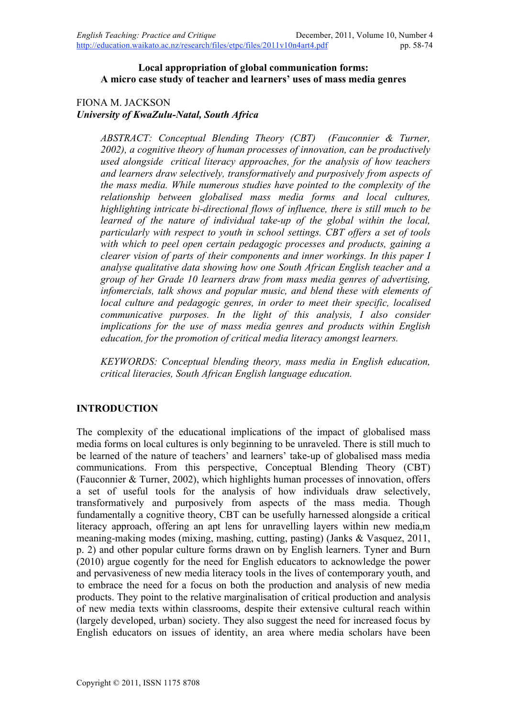#### **Local appropriation of global communication forms: A micro case study of teacher and learners' uses of mass media genres**

#### FIONA M. JACKSON *University of KwaZulu-Natal, South Africa*

*ABSTRACT: Conceptual Blending Theory (CBT) (Fauconnier & Turner, 2002), a cognitive theory of human processes of innovation, can be productively used alongside critical literacy approaches, for the analysis of how teachers and learners draw selectively, transformatively and purposively from aspects of the mass media. While numerous studies have pointed to the complexity of the relationship between globalised mass media forms and local cultures, highlighting intricate bi-directional flows of influence, there is still much to be learned of the nature of individual take-up of the global within the local, particularly with respect to youth in school settings. CBT offers a set of tools with which to peel open certain pedagogic processes and products, gaining a clearer vision of parts of their components and inner workings. In this paper I analyse qualitative data showing how one South African English teacher and a group of her Grade 10 learners draw from mass media genres of advertising, infomercials, talk shows and popular music, and blend these with elements of local culture and pedagogic genres, in order to meet their specific, localised communicative purposes. In the light of this analysis, I also consider implications for the use of mass media genres and products within English education, for the promotion of critical media literacy amongst learners.*

*KEYWORDS: Conceptual blending theory, mass media in English education, critical literacies, South African English language education.*

#### **INTRODUCTION**

The complexity of the educational implications of the impact of globalised mass media forms on local cultures is only beginning to be unraveled. There is still much to be learned of the nature of teachers' and learners' take-up of globalised mass media communications. From this perspective, Conceptual Blending Theory (CBT) (Fauconnier & Turner, 2002), which highlights human processes of innovation, offers a set of useful tools for the analysis of how individuals draw selectively, transformatively and purposively from aspects of the mass media. Though fundamentally a cognitive theory, CBT can be usefully harnessed alongside a critical literacy approach, offering an apt lens for unravelling layers within new media,m meaning-making modes (mixing, mashing, cutting, pasting) (Janks & Vasquez, 2011, p. 2) and other popular culture forms drawn on by English learners. Tyner and Burn (2010) argue cogently for the need for English educators to acknowledge the power and pervasiveness of new media literacy tools in the lives of contemporary youth, and to embrace the need for a focus on both the production and analysis of new media products. They point to the relative marginalisation of critical production and analysis of new media texts within classrooms, despite their extensive cultural reach within (largely developed, urban) society. They also suggest the need for increased focus by English educators on issues of identity, an area where media scholars have been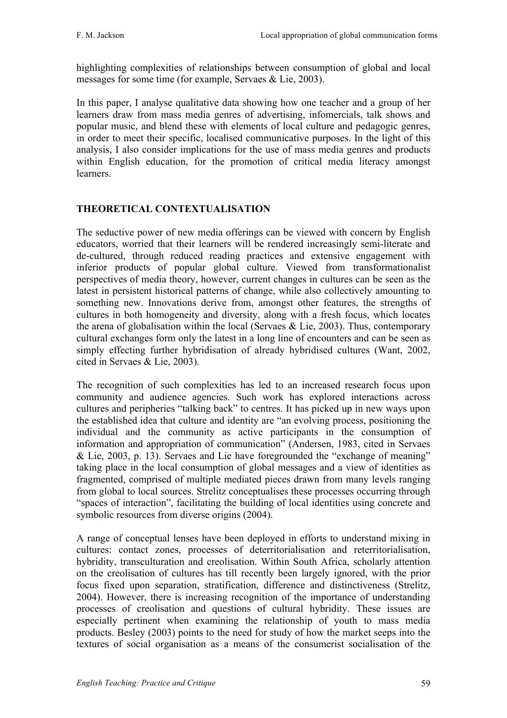highlighting complexities of relationships between consumption of global and local messages for some time (for example, Servaes & Lie, 2003).

In this paper, I analyse qualitative data showing how one teacher and a group of her learners draw from mass media genres of advertising, infomercials, talk shows and popular music, and blend these with elements of local culture and pedagogic genres, in order to meet their specific, localised communicative purposes. In the light of this analysis, I also consider implications for the use of mass media genres and products within English education, for the promotion of critical media literacy amongst learners.

## **THEORETICAL CONTEXTUALISATION**

The seductive power of new media offerings can be viewed with concern by English educators, worried that their learners will be rendered increasingly semi-literate and de-cultured, through reduced reading practices and extensive engagement with inferior products of popular global culture. Viewed from transformationalist perspectives of media theory, however, current changes in cultures can be seen as the latest in persistent historical patterns of change, while also collectively amounting to something new. Innovations derive from, amongst other features, the strengths of cultures in both homogeneity and diversity, along with a fresh focus, which locates the arena of globalisation within the local (Servaes  $\&$  Lie, 2003). Thus, contemporary cultural exchanges form only the latest in a long line of encounters and can be seen as simply effecting further hybridisation of already hybridised cultures (Want, 2002, cited in Servaes & Lie, 2003).

The recognition of such complexities has led to an increased research focus upon community and audience agencies. Such work has explored interactions across cultures and peripheries "talking back" to centres. It has picked up in new ways upon the established idea that culture and identity are "an evolving process, positioning the individual and the community as active participants in the consumption of information and appropriation of communication" (Andersen, 1983, cited in Servaes & Lie, 2003, p. 13). Servaes and Lie have foregrounded the "exchange of meaning" taking place in the local consumption of global messages and a view of identities as fragmented, comprised of multiple mediated pieces drawn from many levels ranging from global to local sources. Strelitz conceptualises these processes occurring through "spaces of interaction", facilitating the building of local identities using concrete and symbolic resources from diverse origins (2004).

A range of conceptual lenses have been deployed in efforts to understand mixing in cultures: contact zones, processes of deterritorialisation and reterritorialisation, hybridity, transculturation and creolisation. Within South Africa, scholarly attention on the creolisation of cultures has till recently been largely ignored, with the prior focus fixed upon separation, stratification, difference and distinctiveness (Strelitz, 2004). However, there is increasing recognition of the importance of understanding processes of creolisation and questions of cultural hybridity. These issues are especially pertinent when examining the relationship of youth to mass media products. Besley (2003) points to the need for study of how the market seeps into the textures of social organisation as a means of the consumerist socialisation of the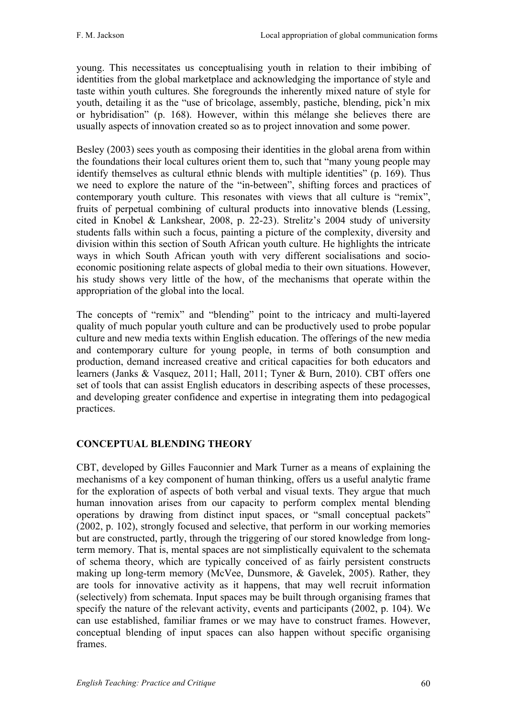young. This necessitates us conceptualising youth in relation to their imbibing of identities from the global marketplace and acknowledging the importance of style and taste within youth cultures. She foregrounds the inherently mixed nature of style for youth, detailing it as the "use of bricolage, assembly, pastiche, blending, pick'n mix or hybridisation" (p. 168). However, within this mélange she believes there are usually aspects of innovation created so as to project innovation and some power.

Besley (2003) sees youth as composing their identities in the global arena from within the foundations their local cultures orient them to, such that "many young people may identify themselves as cultural ethnic blends with multiple identities" (p. 169). Thus we need to explore the nature of the "in-between", shifting forces and practices of contemporary youth culture. This resonates with views that all culture is "remix", fruits of perpetual combining of cultural products into innovative blends (Lessing, cited in Knobel & Lankshear, 2008, p. 22-23). Strelitz's 2004 study of university students falls within such a focus, painting a picture of the complexity, diversity and division within this section of South African youth culture. He highlights the intricate ways in which South African youth with very different socialisations and socioeconomic positioning relate aspects of global media to their own situations. However, his study shows very little of the how, of the mechanisms that operate within the appropriation of the global into the local.

The concepts of "remix" and "blending" point to the intricacy and multi-layered quality of much popular youth culture and can be productively used to probe popular culture and new media texts within English education. The offerings of the new media and contemporary culture for young people, in terms of both consumption and production, demand increased creative and critical capacities for both educators and learners (Janks & Vasquez, 2011; Hall, 2011; Tyner & Burn, 2010). CBT offers one set of tools that can assist English educators in describing aspects of these processes, and developing greater confidence and expertise in integrating them into pedagogical practices.

# **CONCEPTUAL BLENDING THEORY**

CBT, developed by Gilles Fauconnier and Mark Turner as a means of explaining the mechanisms of a key component of human thinking, offers us a useful analytic frame for the exploration of aspects of both verbal and visual texts. They argue that much human innovation arises from our capacity to perform complex mental blending operations by drawing from distinct input spaces, or "small conceptual packets" (2002, p. 102), strongly focused and selective, that perform in our working memories but are constructed, partly, through the triggering of our stored knowledge from longterm memory. That is, mental spaces are not simplistically equivalent to the schemata of schema theory, which are typically conceived of as fairly persistent constructs making up long-term memory (McVee, Dunsmore, & Gavelek, 2005). Rather, they are tools for innovative activity as it happens, that may well recruit information (selectively) from schemata. Input spaces may be built through organising frames that specify the nature of the relevant activity, events and participants (2002, p. 104). We can use established, familiar frames or we may have to construct frames. However, conceptual blending of input spaces can also happen without specific organising frames.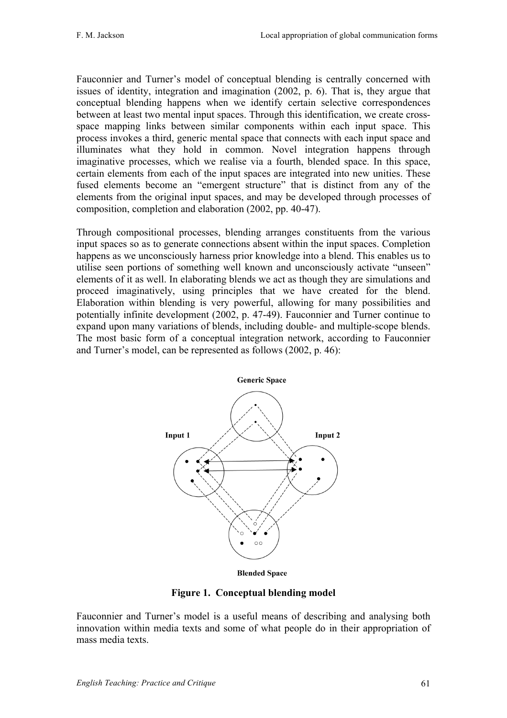Fauconnier and Turner's model of conceptual blending is centrally concerned with issues of identity, integration and imagination (2002, p. 6). That is, they argue that conceptual blending happens when we identify certain selective correspondences between at least two mental input spaces. Through this identification, we create crossspace mapping links between similar components within each input space. This process invokes a third, generic mental space that connects with each input space and illuminates what they hold in common. Novel integration happens through imaginative processes, which we realise via a fourth, blended space. In this space, certain elements from each of the input spaces are integrated into new unities. These fused elements become an "emergent structure" that is distinct from any of the elements from the original input spaces, and may be developed through processes of composition, completion and elaboration (2002, pp. 40-47).

Through compositional processes, blending arranges constituents from the various input spaces so as to generate connections absent within the input spaces. Completion happens as we unconsciously harness prior knowledge into a blend. This enables us to utilise seen portions of something well known and unconsciously activate "unseen" elements of it as well. In elaborating blends we act as though they are simulations and proceed imaginatively, using principles that we have created for the blend. Elaboration within blending is very powerful, allowing for many possibilities and potentially infinite development (2002, p. 47-49). Fauconnier and Turner continue to expand upon many variations of blends, including double- and multiple-scope blends. The most basic form of a conceptual integration network, according to Fauconnier and Turner's model, can be represented as follows (2002, p. 46):



**Blended Space** 

**Figure 1. Conceptual blending model**

Fauconnier and Turner's model is a useful means of describing and analysing both innovation within media texts and some of what people do in their appropriation of mass media texts.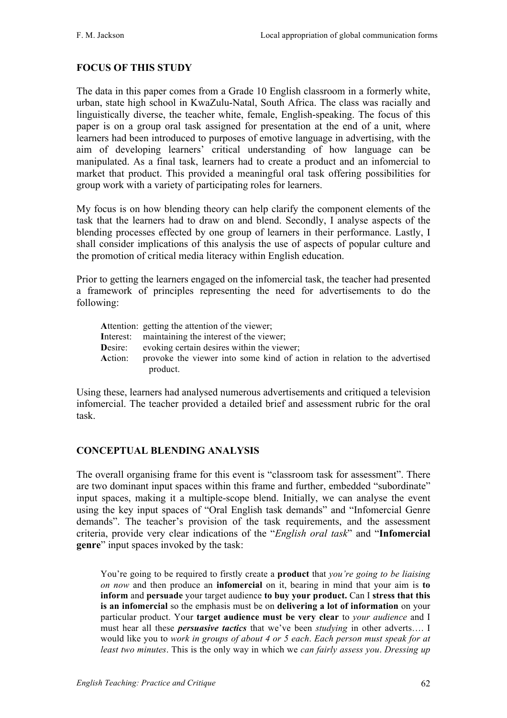## **FOCUS OF THIS STUDY**

The data in this paper comes from a Grade 10 English classroom in a formerly white, urban, state high school in KwaZulu-Natal, South Africa. The class was racially and linguistically diverse, the teacher white, female, English-speaking. The focus of this paper is on a group oral task assigned for presentation at the end of a unit, where learners had been introduced to purposes of emotive language in advertising, with the aim of developing learners' critical understanding of how language can be manipulated. As a final task, learners had to create a product and an infomercial to market that product. This provided a meaningful oral task offering possibilities for group work with a variety of participating roles for learners.

My focus is on how blending theory can help clarify the component elements of the task that the learners had to draw on and blend. Secondly, I analyse aspects of the blending processes effected by one group of learners in their performance. Lastly, I shall consider implications of this analysis the use of aspects of popular culture and the promotion of critical media literacy within English education.

Prior to getting the learners engaged on the infomercial task, the teacher had presented a framework of principles representing the need for advertisements to do the following:

| Desire: | Attention: getting the attention of the viewer;<br>Interest: maintaining the interest of the viewer;<br>evoking certain desires within the viewer; |
|---------|----------------------------------------------------------------------------------------------------------------------------------------------------|
| Action: | provoke the viewer into some kind of action in relation to the advertised<br>product.                                                              |

Using these, learners had analysed numerous advertisements and critiqued a television infomercial. The teacher provided a detailed brief and assessment rubric for the oral task.

#### **CONCEPTUAL BLENDING ANALYSIS**

The overall organising frame for this event is "classroom task for assessment". There are two dominant input spaces within this frame and further, embedded "subordinate" input spaces, making it a multiple-scope blend. Initially, we can analyse the event using the key input spaces of "Oral English task demands" and "Infomercial Genre demands". The teacher's provision of the task requirements, and the assessment criteria, provide very clear indications of the "*English oral task*" and "**Infomercial genre**" input spaces invoked by the task:

You're going to be required to firstly create a **product** that *you're going to be liaising on now* and then produce an **infomercial** on it, bearing in mind that your aim is **to inform** and **persuade** your target audience **to buy your product.** Can I **stress that this is an infomercial** so the emphasis must be on **delivering a lot of information** on your particular product. Your **target audience must be very clear** to *your audience* and I must hear all these *persuasive tactics* that we've been *studying* in other adverts…. I would like you to *work in groups of about 4 or 5 each*. *Each person must speak for at least two minutes*. This is the only way in which we *can fairly assess you*. *Dressing up*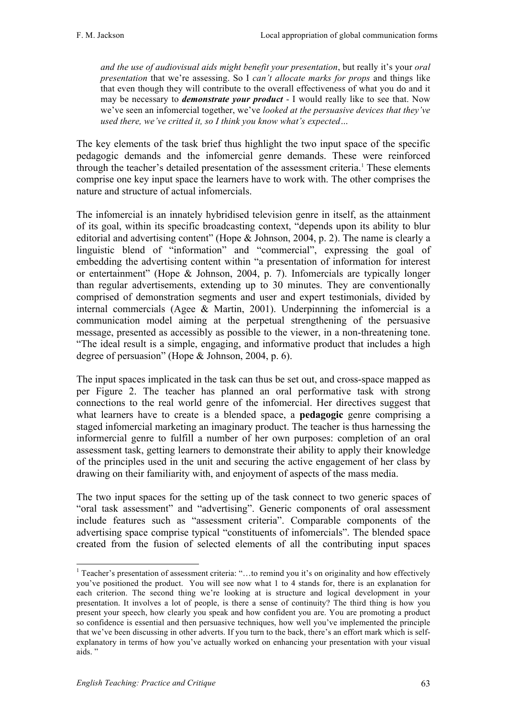*and the use of audiovisual aids might benefit your presentation*, but really it's your *oral presentation* that we're assessing. So I *can't allocate marks for props* and things like that even though they will contribute to the overall effectiveness of what you do and it may be necessary to *demonstrate your product* - I would really like to see that. Now we've seen an infomercial together, we've *looked at the persuasive devices that they've used there, we've critted it, so I think you know what's expected…*

The key elements of the task brief thus highlight the two input space of the specific pedagogic demands and the infomercial genre demands. These were reinforced through the teacher's detailed presentation of the assessment criteria. <sup>1</sup> These elements comprise one key input space the learners have to work with. The other comprises the nature and structure of actual infomercials.

The infomercial is an innately hybridised television genre in itself, as the attainment of its goal, within its specific broadcasting context, "depends upon its ability to blur editorial and advertising content" (Hope & Johnson, 2004, p. 2). The name is clearly a linguistic blend of "information" and "commercial", expressing the goal of embedding the advertising content within "a presentation of information for interest or entertainment" (Hope & Johnson, 2004, p. 7). Infomercials are typically longer than regular advertisements, extending up to 30 minutes. They are conventionally comprised of demonstration segments and user and expert testimonials, divided by internal commercials (Agee & Martin, 2001). Underpinning the infomercial is a communication model aiming at the perpetual strengthening of the persuasive message, presented as accessibly as possible to the viewer, in a non-threatening tone. "The ideal result is a simple, engaging, and informative product that includes a high degree of persuasion" (Hope & Johnson, 2004, p. 6).

The input spaces implicated in the task can thus be set out, and cross-space mapped as per Figure 2. The teacher has planned an oral performative task with strong connections to the real world genre of the infomercial. Her directives suggest that what learners have to create is a blended space, a **pedagogic** genre comprising a staged infomercial marketing an imaginary product. The teacher is thus harnessing the informercial genre to fulfill a number of her own purposes: completion of an oral assessment task, getting learners to demonstrate their ability to apply their knowledge of the principles used in the unit and securing the active engagement of her class by drawing on their familiarity with, and enjoyment of aspects of the mass media.

The two input spaces for the setting up of the task connect to two generic spaces of "oral task assessment" and "advertising". Generic components of oral assessment include features such as "assessment criteria". Comparable components of the advertising space comprise typical "constituents of infomercials". The blended space created from the fusion of selected elements of all the contributing input spaces

<sup>&</sup>lt;sup>1</sup> Teacher's presentation of assessment criteria: "...to remind you it's on originality and how effectively you've positioned the product. You will see now what 1 to 4 stands for, there is an explanation for each criterion. The second thing we're looking at is structure and logical development in your presentation. It involves a lot of people, is there a sense of continuity? The third thing is how you present your speech, how clearly you speak and how confident you are. You are promoting a product so confidence is essential and then persuasive techniques, how well you've implemented the principle that we've been discussing in other adverts. If you turn to the back, there's an effort mark which is selfexplanatory in terms of how you've actually worked on enhancing your presentation with your visual aids. "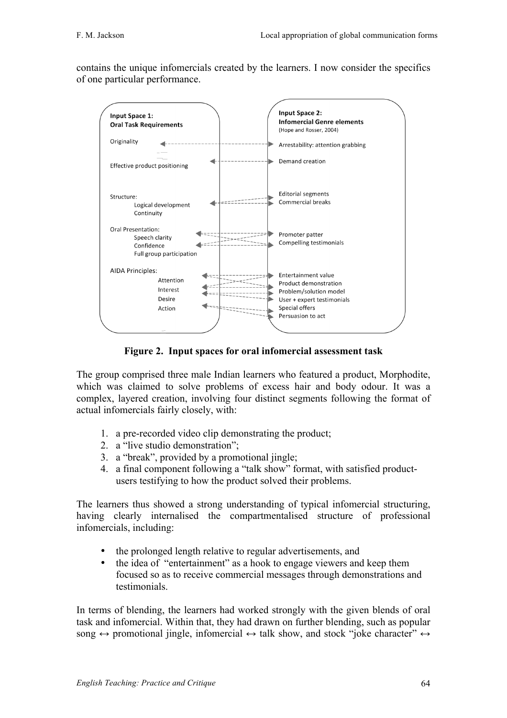contains the unique infomercials created by the learners. I now consider the specifics of one particular performance.



**Figure 2. Input spaces for oral infomercial assessment task**

The group comprised three male Indian learners who featured a product, Morphodite, which was claimed to solve problems of excess hair and body odour. It was a complex, layered creation, involving four distinct segments following the format of actual infomercials fairly closely, with:

- 1. a pre-recorded video clip demonstrating the product;
- 2. a "live studio demonstration";
- 3. a "break", provided by a promotional jingle;
- 4. a final component following a "talk show" format, with satisfied productusers testifying to how the product solved their problems.

The learners thus showed a strong understanding of typical infomercial structuring, having clearly internalised the compartmentalised structure of professional infomercials, including:

- the prolonged length relative to regular advertisements, and
- the idea of "entertainment" as a hook to engage viewers and keep them focused so as to receive commercial messages through demonstrations and testimonials.

In terms of blending, the learners had worked strongly with the given blends of oral task and infomercial. Within that, they had drawn on further blending, such as popular song  $\leftrightarrow$  promotional jingle, infomercial  $\leftrightarrow$  talk show, and stock "joke character"  $\leftrightarrow$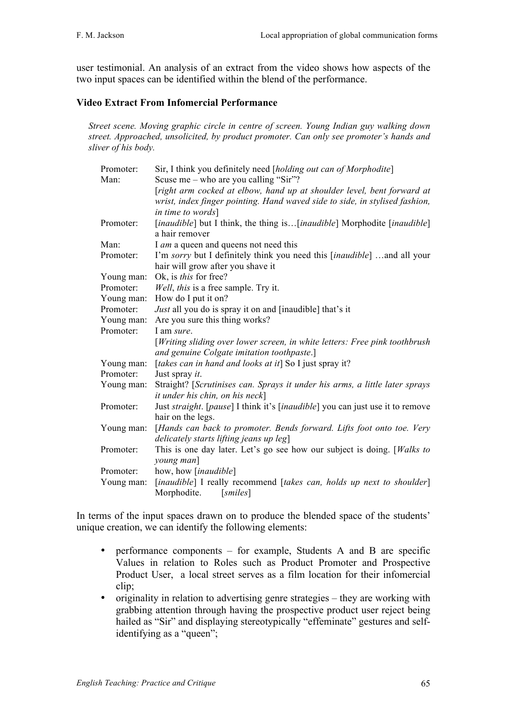user testimonial. An analysis of an extract from the video shows how aspects of the two input spaces can be identified within the blend of the performance.

#### **Video Extract From Infomercial Performance**

*Street scene. Moving graphic circle in centre of screen. Young Indian guy walking down street. Approached, unsolicited, by product promoter. Can only see promoter's hands and sliver of his body.*

| Promoter:  | Sir, I think you definitely need [holding out can of Morphodite]                                                                                                           |
|------------|----------------------------------------------------------------------------------------------------------------------------------------------------------------------------|
| Man:       | Scuse me – who are you calling "Sir"?                                                                                                                                      |
|            | [right arm cocked at elbow, hand up at shoulder level, bent forward at<br>wrist, index finger pointing. Hand waved side to side, in stylised fashion,<br>in time to words] |
| Promoter:  | [ <i>inaudible</i> ] but I think, the thing is[ <i>inaudible</i> ] Morphodite [ <i>inaudible</i> ]                                                                         |
|            | a hair remover                                                                                                                                                             |
| Man:       | I <i>am</i> a queen and queens not need this                                                                                                                               |
| Promoter:  | I'm sorry but I definitely think you need this [ <i>inaudible</i> ] and all your<br>hair will grow after you shave it                                                      |
| Young man: | Ok, is this for free?                                                                                                                                                      |
| Promoter:  | <i>Well, this is a free sample. Try it.</i>                                                                                                                                |
| Young man: | How do I put it on?                                                                                                                                                        |
| Promoter:  | Just all you do is spray it on and [inaudible] that's it                                                                                                                   |
| Young man: | Are you sure this thing works?                                                                                                                                             |
| Promoter:  | I am sure.                                                                                                                                                                 |
|            | [Writing sliding over lower screen, in white letters: Free pink toothbrush<br>and genuine Colgate imitation toothpaste.]                                                   |
| Young man: | [takes can in hand and looks at it] So I just spray it?                                                                                                                    |
| Promoter:  | Just spray it.                                                                                                                                                             |
| Young man: | Straight? [Scrutinises can. Sprays it under his arms, a little later sprays<br>it under his chin, on his neck]                                                             |
| Promoter:  | Just straight. [pause] I think it's [inaudible] you can just use it to remove<br>hair on the legs.                                                                         |
| Young man: | [Hands can back to promoter. Bends forward. Lifts foot onto toe. Very<br>delicately starts lifting jeans up leg]                                                           |
| Promoter:  | This is one day later. Let's go see how our subject is doing. [Walks to<br>young man                                                                                       |
| Promoter:  | how, how [ <i>inaudible</i> ]                                                                                                                                              |
| Young man: | [inaudible] I really recommend [takes can, holds up next to shoulder]<br>Morphodite.<br>[smiles]                                                                           |

In terms of the input spaces drawn on to produce the blended space of the students' unique creation, we can identify the following elements:

- performance components for example, Students A and B are specific Values in relation to Roles such as Product Promoter and Prospective Product User, a local street serves as a film location for their infomercial clip;
- originality in relation to advertising genre strategies they are working with grabbing attention through having the prospective product user reject being hailed as "Sir" and displaying stereotypically "effeminate" gestures and selfidentifying as a "queen";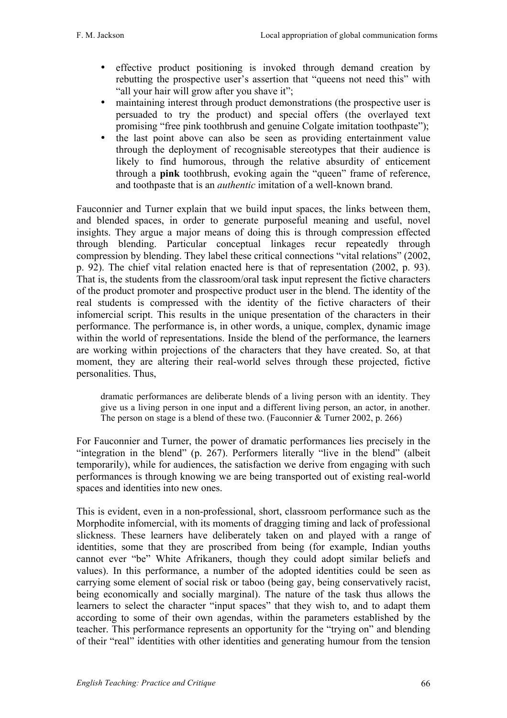- effective product positioning is invoked through demand creation by rebutting the prospective user's assertion that "queens not need this" with "all your hair will grow after you shave it";
- maintaining interest through product demonstrations (the prospective user is persuaded to try the product) and special offers (the overlayed text promising "free pink toothbrush and genuine Colgate imitation toothpaste");
- the last point above can also be seen as providing entertainment value through the deployment of recognisable stereotypes that their audience is likely to find humorous, through the relative absurdity of enticement through a **pink** toothbrush, evoking again the "queen" frame of reference, and toothpaste that is an *authentic* imitation of a well-known brand.

Fauconnier and Turner explain that we build input spaces, the links between them, and blended spaces, in order to generate purposeful meaning and useful, novel insights. They argue a major means of doing this is through compression effected through blending. Particular conceptual linkages recur repeatedly through compression by blending. They label these critical connections "vital relations" (2002, p. 92). The chief vital relation enacted here is that of representation (2002, p. 93). That is, the students from the classroom/oral task input represent the fictive characters of the product promoter and prospective product user in the blend. The identity of the real students is compressed with the identity of the fictive characters of their infomercial script. This results in the unique presentation of the characters in their performance. The performance is, in other words, a unique, complex, dynamic image within the world of representations. Inside the blend of the performance, the learners are working within projections of the characters that they have created. So, at that moment, they are altering their real-world selves through these projected, fictive personalities. Thus,

dramatic performances are deliberate blends of a living person with an identity. They give us a living person in one input and a different living person, an actor, in another. The person on stage is a blend of these two. (Fauconnier & Turner 2002, p. 266)

For Fauconnier and Turner, the power of dramatic performances lies precisely in the "integration in the blend" (p. 267). Performers literally "live in the blend" (albeit temporarily), while for audiences, the satisfaction we derive from engaging with such performances is through knowing we are being transported out of existing real-world spaces and identities into new ones.

This is evident, even in a non-professional, short, classroom performance such as the Morphodite infomercial, with its moments of dragging timing and lack of professional slickness. These learners have deliberately taken on and played with a range of identities, some that they are proscribed from being (for example, Indian youths cannot ever "be" White Afrikaners, though they could adopt similar beliefs and values). In this performance, a number of the adopted identities could be seen as carrying some element of social risk or taboo (being gay, being conservatively racist, being economically and socially marginal). The nature of the task thus allows the learners to select the character "input spaces" that they wish to, and to adapt them according to some of their own agendas, within the parameters established by the teacher. This performance represents an opportunity for the "trying on" and blending of their "real" identities with other identities and generating humour from the tension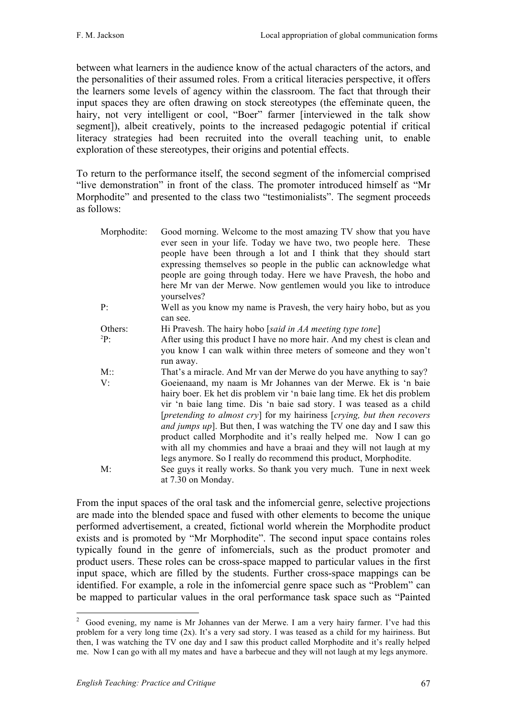between what learners in the audience know of the actual characters of the actors, and the personalities of their assumed roles. From a critical literacies perspective, it offers the learners some levels of agency within the classroom. The fact that through their input spaces they are often drawing on stock stereotypes (the effeminate queen, the hairy, not very intelligent or cool, "Boer" farmer [interviewed in the talk show segment]), albeit creatively, points to the increased pedagogic potential if critical literacy strategies had been recruited into the overall teaching unit, to enable exploration of these stereotypes, their origins and potential effects.

To return to the performance itself, the second segment of the infomercial comprised "live demonstration" in front of the class. The promoter introduced himself as "Mr Morphodite" and presented to the class two "testimonialists". The segment proceeds as follows:

| Morphodite: | Good morning. Welcome to the most amazing TV show that you have<br>ever seen in your life. Today we have two, two people here. These<br>people have been through a lot and I think that they should start<br>expressing themselves so people in the public can acknowledge what<br>people are going through today. Here we have Pravesh, the hobo and<br>here Mr van der Merwe. Now gentlemen would you like to introduce<br>yourselves?                                                                                                                                                         |
|-------------|--------------------------------------------------------------------------------------------------------------------------------------------------------------------------------------------------------------------------------------------------------------------------------------------------------------------------------------------------------------------------------------------------------------------------------------------------------------------------------------------------------------------------------------------------------------------------------------------------|
| P:          | Well as you know my name is Pravesh, the very hairy hobo, but as you<br>can see.                                                                                                                                                                                                                                                                                                                                                                                                                                                                                                                 |
| Others:     | Hi Pravesh. The hairy hobo [said in AA meeting type tone]                                                                                                                                                                                                                                                                                                                                                                                                                                                                                                                                        |
| $^{2}P$ :   | After using this product I have no more hair. And my chest is clean and<br>you know I can walk within three meters of someone and they won't<br>run away.                                                                                                                                                                                                                                                                                                                                                                                                                                        |
| $M$ ::      | That's a miracle. And Mr van der Merwe do you have anything to say?                                                                                                                                                                                                                                                                                                                                                                                                                                                                                                                              |
| V:          | Goeienaand, my naam is Mr Johannes van der Merwe. Ek is 'n baie<br>hairy boer. Ek het dis problem vir 'n baie lang time. Ek het dis problem<br>vir 'n baie lang time. Dis 'n baie sad story. I was teased as a child<br>[pretending to almost cry] for my hairiness [crying, but then recovers]<br><i>and jumps up</i> ]. But then, I was watching the TV one day and I saw this<br>product called Morphodite and it's really helped me. Now I can go<br>with all my chommies and have a braai and they will not laugh at my<br>legs anymore. So I really do recommend this product, Morphodite. |
| M:          | See guys it really works. So thank you very much. Tune in next week<br>at 7.30 on Monday.                                                                                                                                                                                                                                                                                                                                                                                                                                                                                                        |

From the input spaces of the oral task and the infomercial genre, selective projections are made into the blended space and fused with other elements to become the unique performed advertisement, a created, fictional world wherein the Morphodite product exists and is promoted by "Mr Morphodite". The second input space contains roles typically found in the genre of infomercials, such as the product promoter and product users. These roles can be cross-space mapped to particular values in the first input space, which are filled by the students. Further cross-space mappings can be identified. For example, a role in the infomercial genre space such as "Problem" can be mapped to particular values in the oral performance task space such as "Painted

<sup>&</sup>lt;sup>2</sup> Good evening, my name is Mr Johannes van der Merwe. I am a very hairy farmer. I've had this problem for a very long time  $(2x)$ . It's a very sad story. I was teased as a child for my hairiness. But then, I was watching the TV one day and I saw this product called Morphodite and it's really helped me. Now I can go with all my mates and have a barbecue and they will not laugh at my legs anymore.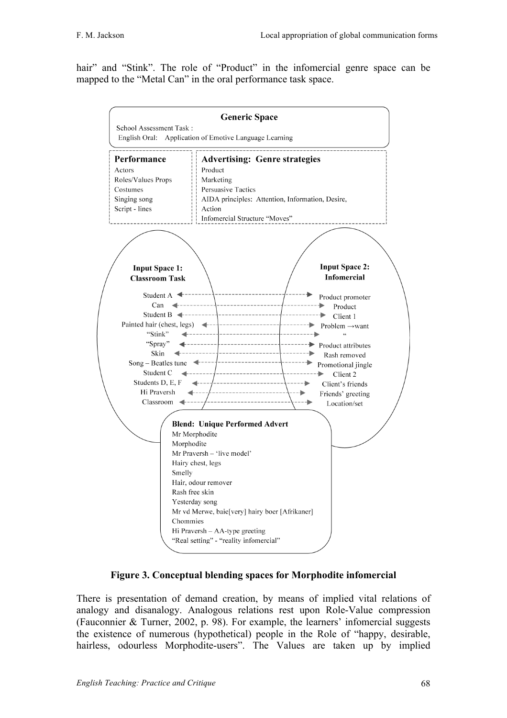hair" and "Stink". The role of "Product" in the infomercial genre space can be mapped to the "Metal Can" in the oral performance task space.



**Figure 3. Conceptual blending spaces for Morphodite infomercial** 

There is presentation of demand creation, by means of implied vital relations of analogy and disanalogy. Analogous relations rest upon Role-Value compression (Fauconnier & Turner, 2002, p. 98). For example, the learners' infomercial suggests the existence of numerous (hypothetical) people in the Role of "happy, desirable, hairless, odourless Morphodite-users". The Values are taken up by implied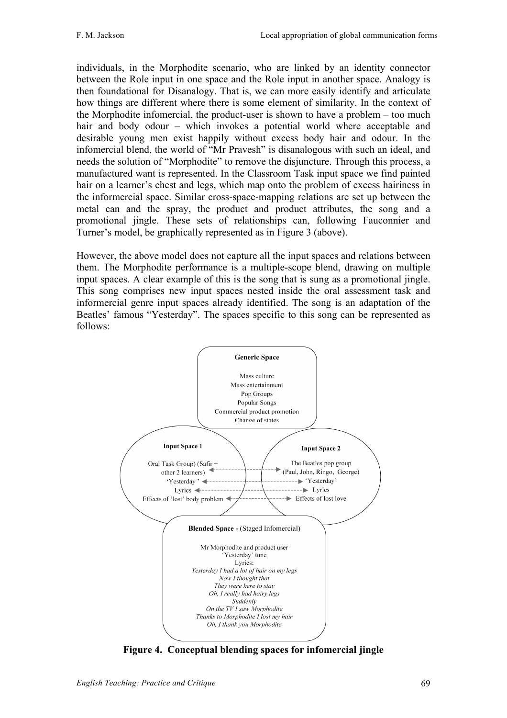individuals, in the Morphodite scenario, who are linked by an identity connector between the Role input in one space and the Role input in another space. Analogy is then foundational for Disanalogy. That is, we can more easily identify and articulate how things are different where there is some element of similarity. In the context of the Morphodite infomercial, the product-user is shown to have a problem – too much hair and body odour – which invokes a potential world where acceptable and desirable young men exist happily without excess body hair and odour. In the infomercial blend, the world of "Mr Pravesh" is disanalogous with such an ideal, and needs the solution of "Morphodite" to remove the disjuncture. Through this process, a manufactured want is represented. In the Classroom Task input space we find painted hair on a learner's chest and legs, which map onto the problem of excess hairiness in the informercial space. Similar cross-space-mapping relations are set up between the metal can and the spray, the product and product attributes, the song and a promotional jingle. These sets of relationships can, following Fauconnier and Turner's model, be graphically represented as in Figure 3 (above).

However, the above model does not capture all the input spaces and relations between them. The Morphodite performance is a multiple-scope blend, drawing on multiple input spaces. A clear example of this is the song that is sung as a promotional jingle. This song comprises new input spaces nested inside the oral assessment task and informercial genre input spaces already identified. The song is an adaptation of the Beatles' famous "Yesterday". The spaces specific to this song can be represented as follows:



**Figure 4. Conceptual blending spaces for infomercial jingle**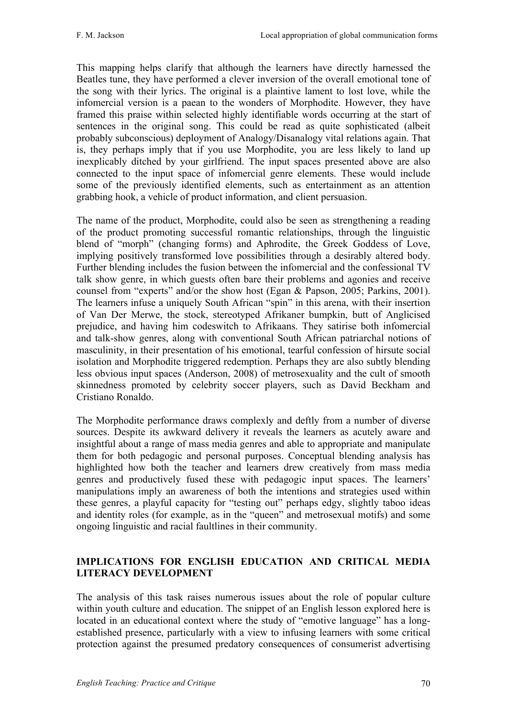This mapping helps clarify that although the learners have directly harnessed the Beatles tune, they have performed a clever inversion of the overall emotional tone of the song with their lyrics. The original is a plaintive lament to lost love, while the infomercial version is a paean to the wonders of Morphodite. However, they have framed this praise within selected highly identifiable words occurring at the start of sentences in the original song. This could be read as quite sophisticated (albeit probably subconscious) deployment of Analogy/Disanalogy vital relations again. That is, they perhaps imply that if you use Morphodite, you are less likely to land up inexplicably ditched by your girlfriend. The input spaces presented above are also connected to the input space of infomercial genre elements. These would include some of the previously identified elements, such as entertainment as an attention grabbing hook, a vehicle of product information, and client persuasion.

The name of the product, Morphodite, could also be seen as strengthening a reading of the product promoting successful romantic relationships, through the linguistic blend of "morph" (changing forms) and Aphrodite, the Greek Goddess of Love, implying positively transformed love possibilities through a desirably altered body. Further blending includes the fusion between the infomercial and the confessional TV talk show genre, in which guests often bare their problems and agonies and receive counsel from "experts" and/or the show host (Egan & Papson, 2005; Parkins, 2001). The learners infuse a uniquely South African "spin" in this arena, with their insertion of Van Der Merwe, the stock, stereotyped Afrikaner bumpkin, butt of Anglicised prejudice, and having him codeswitch to Afrikaans. They satirise both infomercial and talk-show genres, along with conventional South African patriarchal notions of masculinity, in their presentation of his emotional, tearful confession of hirsute social isolation and Morphodite triggered redemption. Perhaps they are also subtly blending less obvious input spaces (Anderson, 2008) of metrosexuality and the cult of smooth skinnedness promoted by celebrity soccer players, such as David Beckham and Cristiano Ronaldo.

The Morphodite performance draws complexly and deftly from a number of diverse sources. Despite its awkward delivery it reveals the learners as acutely aware and insightful about a range of mass media genres and able to appropriate and manipulate them for both pedagogic and personal purposes. Conceptual blending analysis has highlighted how both the teacher and learners drew creatively from mass media genres and productively fused these with pedagogic input spaces. The learners' manipulations imply an awareness of both the intentions and strategies used within these genres, a playful capacity for "testing out" perhaps edgy, slightly taboo ideas and identity roles (for example, as in the "queen" and metrosexual motifs) and some ongoing linguistic and racial faultlines in their community.

# **IMPLICATIONS FOR ENGLISH EDUCATION AND CRITICAL MEDIA LITERACY DEVELOPMENT**

The analysis of this task raises numerous issues about the role of popular culture within youth culture and education. The snippet of an English lesson explored here is located in an educational context where the study of "emotive language" has a longestablished presence, particularly with a view to infusing learners with some critical protection against the presumed predatory consequences of consumerist advertising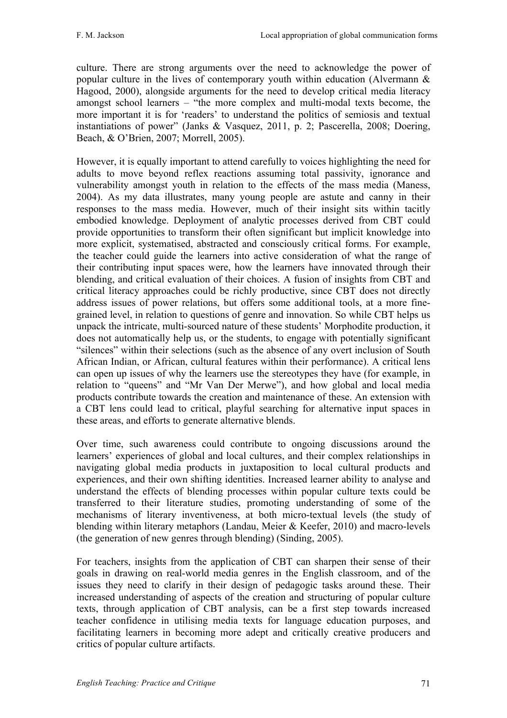culture. There are strong arguments over the need to acknowledge the power of popular culture in the lives of contemporary youth within education (Alvermann & Hagood, 2000), alongside arguments for the need to develop critical media literacy amongst school learners – "the more complex and multi-modal texts become, the more important it is for 'readers' to understand the politics of semiosis and textual instantiations of power" (Janks & Vasquez, 2011, p. 2; Pascerella, 2008; Doering, Beach, & O'Brien, 2007; Morrell, 2005).

However, it is equally important to attend carefully to voices highlighting the need for adults to move beyond reflex reactions assuming total passivity, ignorance and vulnerability amongst youth in relation to the effects of the mass media (Maness, 2004). As my data illustrates, many young people are astute and canny in their responses to the mass media. However, much of their insight sits within tacitly embodied knowledge. Deployment of analytic processes derived from CBT could provide opportunities to transform their often significant but implicit knowledge into more explicit, systematised, abstracted and consciously critical forms. For example, the teacher could guide the learners into active consideration of what the range of their contributing input spaces were, how the learners have innovated through their blending, and critical evaluation of their choices. A fusion of insights from CBT and critical literacy approaches could be richly productive, since CBT does not directly address issues of power relations, but offers some additional tools, at a more finegrained level, in relation to questions of genre and innovation. So while CBT helps us unpack the intricate, multi-sourced nature of these students' Morphodite production, it does not automatically help us, or the students, to engage with potentially significant "silences" within their selections (such as the absence of any overt inclusion of South African Indian, or African, cultural features within their performance). A critical lens can open up issues of why the learners use the stereotypes they have (for example, in relation to "queens" and "Mr Van Der Merwe"), and how global and local media products contribute towards the creation and maintenance of these. An extension with a CBT lens could lead to critical, playful searching for alternative input spaces in these areas, and efforts to generate alternative blends.

Over time, such awareness could contribute to ongoing discussions around the learners' experiences of global and local cultures, and their complex relationships in navigating global media products in juxtaposition to local cultural products and experiences, and their own shifting identities. Increased learner ability to analyse and understand the effects of blending processes within popular culture texts could be transferred to their literature studies, promoting understanding of some of the mechanisms of literary inventiveness, at both micro-textual levels (the study of blending within literary metaphors (Landau, Meier & Keefer, 2010) and macro-levels (the generation of new genres through blending) (Sinding, 2005).

For teachers, insights from the application of CBT can sharpen their sense of their goals in drawing on real-world media genres in the English classroom, and of the issues they need to clarify in their design of pedagogic tasks around these. Their increased understanding of aspects of the creation and structuring of popular culture texts, through application of CBT analysis, can be a first step towards increased teacher confidence in utilising media texts for language education purposes, and facilitating learners in becoming more adept and critically creative producers and critics of popular culture artifacts.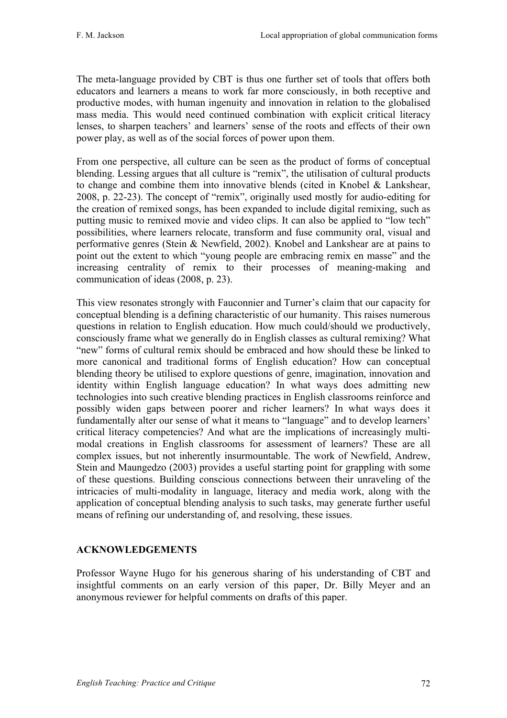The meta-language provided by CBT is thus one further set of tools that offers both educators and learners a means to work far more consciously, in both receptive and productive modes, with human ingenuity and innovation in relation to the globalised mass media. This would need continued combination with explicit critical literacy lenses, to sharpen teachers' and learners' sense of the roots and effects of their own power play, as well as of the social forces of power upon them.

From one perspective, all culture can be seen as the product of forms of conceptual blending. Lessing argues that all culture is "remix", the utilisation of cultural products to change and combine them into innovative blends (cited in Knobel & Lankshear, 2008, p. 22-23). The concept of "remix", originally used mostly for audio-editing for the creation of remixed songs, has been expanded to include digital remixing, such as putting music to remixed movie and video clips. It can also be applied to "low tech" possibilities, where learners relocate, transform and fuse community oral, visual and performative genres (Stein & Newfield, 2002). Knobel and Lankshear are at pains to point out the extent to which "young people are embracing remix en masse" and the increasing centrality of remix to their processes of meaning-making and communication of ideas (2008, p. 23).

This view resonates strongly with Fauconnier and Turner's claim that our capacity for conceptual blending is a defining characteristic of our humanity. This raises numerous questions in relation to English education. How much could/should we productively, consciously frame what we generally do in English classes as cultural remixing? What "new" forms of cultural remix should be embraced and how should these be linked to more canonical and traditional forms of English education? How can conceptual blending theory be utilised to explore questions of genre, imagination, innovation and identity within English language education? In what ways does admitting new technologies into such creative blending practices in English classrooms reinforce and possibly widen gaps between poorer and richer learners? In what ways does it fundamentally alter our sense of what it means to "language" and to develop learners' critical literacy competencies? And what are the implications of increasingly multimodal creations in English classrooms for assessment of learners? These are all complex issues, but not inherently insurmountable. The work of Newfield, Andrew, Stein and Maungedzo (2003) provides a useful starting point for grappling with some of these questions. Building conscious connections between their unraveling of the intricacies of multi-modality in language, literacy and media work, along with the application of conceptual blending analysis to such tasks, may generate further useful means of refining our understanding of, and resolving, these issues.

# **ACKNOWLEDGEMENTS**

Professor Wayne Hugo for his generous sharing of his understanding of CBT and insightful comments on an early version of this paper, Dr. Billy Meyer and an anonymous reviewer for helpful comments on drafts of this paper.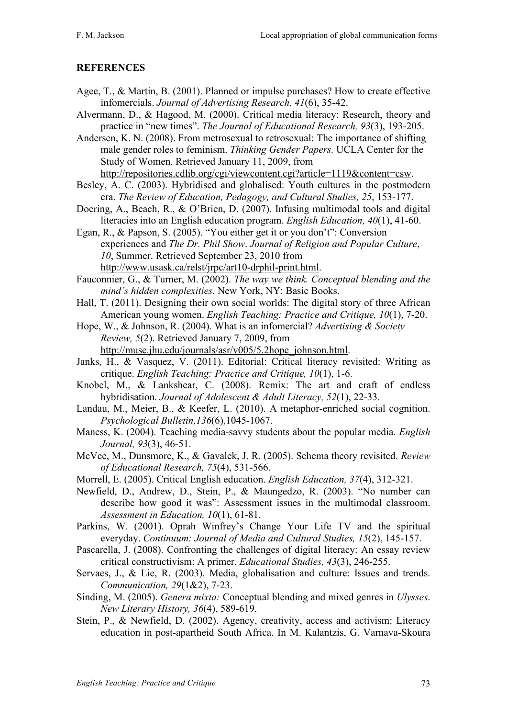#### **REFERENCES**

- Agee, T., & Martin, B. (2001). Planned or impulse purchases? How to create effective infomercials. *Journal of Advertising Research, 41*(6), 35-42.
- Alvermann, D., & Hagood, M. (2000). Critical media literacy: Research, theory and practice in "new times". *The Journal of Educational Research, 93*(3), 193-205.

Andersen, K. N. (2008). From metrosexual to retrosexual: The importance of shifting male gender roles to feminism. *Thinking Gender Papers.* UCLA Center for the Study of Women. Retrieved January 11, 2009, from http://repositories.cdlib.org/cgi/viewcontent.cgi?article=1119&content=csw.

- Besley, A. C. (2003). Hybridised and globalised: Youth cultures in the postmodern era. *The Review of Education, Pedagogy, and Cultural Studies, 25*, 153-177.
- Doering, A., Beach, R., & O'Brien, D. (2007). Infusing multimodal tools and digital literacies into an English education program. *English Education, 40*(1), 41-60.
- Egan, R., & Papson, S. (2005). "You either get it or you don't": Conversion experiences and *The Dr. Phil Show*. *Journal of Religion and Popular Culture*, *10*, Summer. Retrieved September 23, 2010 from http://www.usask.ca/relst/jrpc/art10-drphil-print.html.

Fauconnier, G., & Turner, M. (2002). *The way we think. Conceptual blending and the mind's hidden complexities.* New York, NY: Basic Books.

Hall, T. (2011). Designing their own social worlds: The digital story of three African American young women. *English Teaching: Practice and Critique, 10*(1), 7-20.

Hope, W., & Johnson, R. (2004). What is an infomercial? *Advertising & Society Review, 5*(2). Retrieved January 7, 2009, from http://muse.jhu.edu/journals/asr/v005/5.2hope\_johnson.html.

- Janks, H., & Vasquez, V. (2011). Editorial: Critical literacy revisited: Writing as critique. *English Teaching: Practice and Critique, 10*(1), 1-6.
- Knobel, M., & Lankshear, C. (2008). Remix: The art and craft of endless hybridisation. *Journal of Adolescent & Adult Literacy, 52*(1), 22-33.
- Landau, M., Meier, B., & Keefer, L. (2010). A metaphor-enriched social cognition. *Psychological Bulletin,136*(6),1045-1067.
- Maness, K. (2004). Teaching media-savvy students about the popular media. *English Journal, 93*(3), 46-51.
- McVee, M., Dunsmore, K., & Gavalek, J. R. (2005). Schema theory revisited. *Review of Educational Research, 75*(4), 531-566.
- Morrell, E. (2005). Critical English education. *English Education, 37*(4), 312-321.
- Newfield, D., Andrew, D., Stein, P., & Maungedzo, R. (2003). "No number can describe how good it was": Assessment issues in the multimodal classroom. *Assessment in Education, 10*(1), 61-81.
- Parkins, W. (2001). Oprah Winfrey's Change Your Life TV and the spiritual everyday. *Continuum: Journal of Media and Cultural Studies, 15*(2), 145-157.
- Pascarella, J. (2008). Confronting the challenges of digital literacy: An essay review critical constructivism: A primer. *Educational Studies, 43*(3), 246-255.
- Servaes, J., & Lie, R. (2003). Media, globalisation and culture: Issues and trends. *Communication, 29*(1&2), 7-23.
- Sinding, M. (2005). *Genera mixta:* Conceptual blending and mixed genres in *Ulysses*. *New Literary History, 36*(4), 589-619.
- Stein, P., & Newfield, D. (2002). Agency, creativity, access and activism: Literacy education in post-apartheid South Africa. In M. Kalantzis, G. Varnava-Skoura